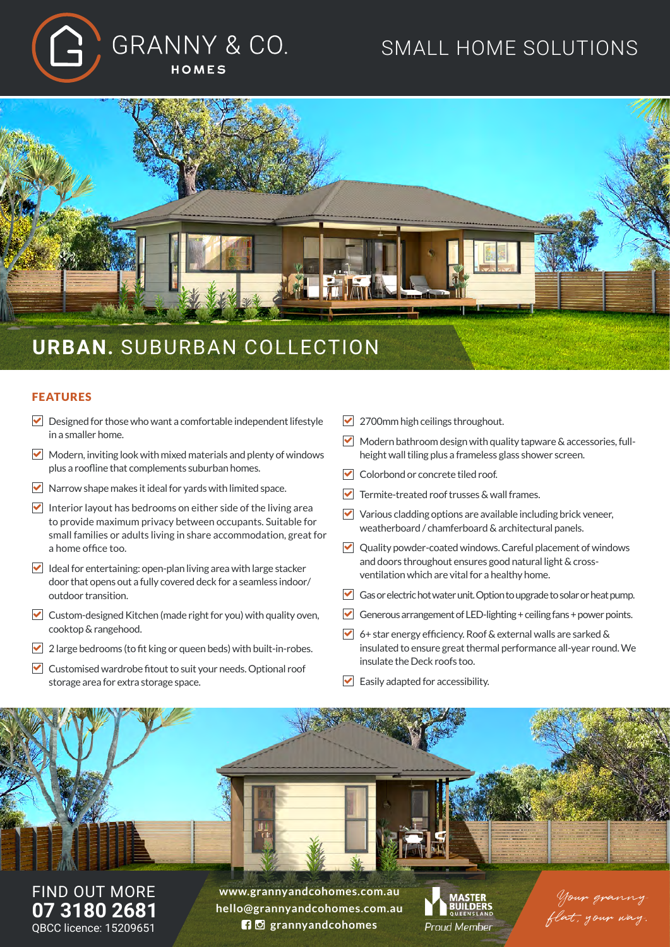

# SMALL HOME SOLUTIONS



#### FEATURES

- $\triangleright$  Designed for those who want a comfortable independent lifestyle in a smaller home.
- $\blacktriangleright$  Modern, inviting look with mixed materials and plenty of windows plus a roofline that complements suburban homes.
- $\triangledown$  Narrow shape makes it ideal for vards with limited space.
- $\triangledown$  Interior layout has bedrooms on either side of the living area to provide maximum privacy between occupants. Suitable for small families or adults living in share accommodation, great for a home office too.
- $\blacktriangleright$  Ideal for entertaining: open-plan living area with large stacker door that opens out a fully covered deck for a seamless indoor/ outdoor transition.
- $\triangledown$  Custom-designed Kitchen (made right for you) with quality oven, cooktop & rangehood.
- $\triangledown$  2 large bedrooms (to fit king or queen beds) with built-in-robes.
- $\triangledown$  Customised wardrobe fitout to suit your needs. Optional roof storage area for extra storage space.
- 2700mm high ceilings throughout.
- $\triangledown$  Modern bathroom design with quality tapware & accessories, fullheight wall tiling plus a frameless glass shower screen.
- Colorbond or concrete tiled roof.
- $\blacktriangleright$  Termite-treated roof trusses & wall frames.
- $\triangledown$  Various cladding options are available including brick veneer, weatherboard / chamferboard & architectural panels.
- ◘ Quality powder-coated windows. Careful placement of windows and doors throughout ensures good natural light & crossventilation which are vital for a healthy home.
- Gas or electric hot water unit. Option to upgrade to solar or heat pump.
- Generous arrangement of LED-lighting  $+$  ceiling fans  $+$  power points.
- $\triangledown$  6+ star energy efficiency. Roof & external walls are sarked & insulated to ensure great thermal performance all-year round. We insulate the Deck roofs too.
- $\blacktriangleright$  Easily adapted for accessibility.



FIND OUT MORE **07 3180 2681** QBCC licence: 15209651

**www.grannyandcohomes.com.au hello@grannyandcohomes.com.au grannyandcohomes**



Your granny flat, your way.